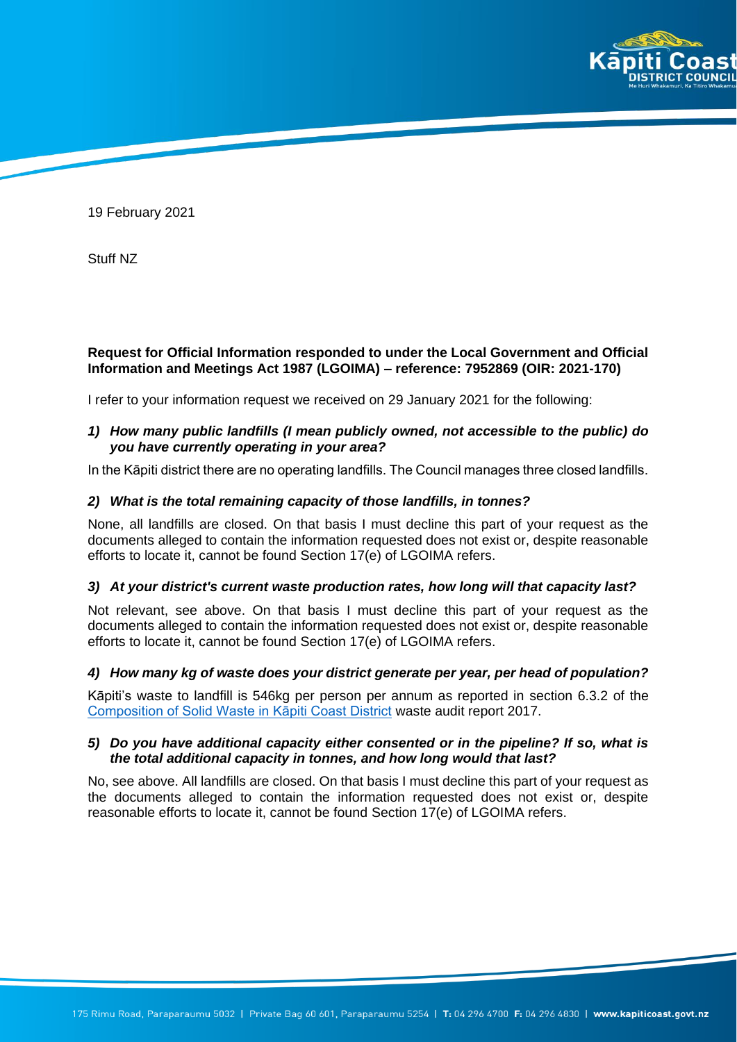

19 February 2021

Stuff NZ

# **Request for Official Information responded to under the Local Government and Official Information and Meetings Act 1987 (LGOIMA) – reference: 7952869 (OIR: 2021-170)**

I refer to your information request we received on 29 January 2021 for the following:

### *1) How many public landfills (I mean publicly owned, not accessible to the public) do you have currently operating in your area?*

In the Kāpiti district there are no operating landfills. The Council manages three closed landfills.

## *2) What is the total remaining capacity of those landfills, in tonnes?*

None, all landfills are closed. On that basis I must decline this part of your request as the documents alleged to contain the information requested does not exist or, despite reasonable efforts to locate it, cannot be found Section 17(e) of LGOIMA refers.

#### *3) At your district's current waste production rates, how long will that capacity last?*

Not relevant, see above. On that basis I must decline this part of your request as the documents alleged to contain the information requested does not exist or, despite reasonable efforts to locate it, cannot be found Section 17(e) of LGOIMA refers.

#### *4) How many kg of waste does your district generate per year, per head of population?*

Kāpiti's waste to landfill is 546kg per person per annum as reported in section 6.3.2 of the [Composition of Solid Waste in Kāpiti Coast District](extension://ieepebpjnkhaiioojkepfniodjmjjihl/data/pdf.js/web/viewer.html?file=https%3A%2F%2Fwww.kapiticoast.govt.nz%2Fmedia%2F30984%2Ffinal-11-kcdc-swap-report-2017.pdf) waste audit report 2017.

## *5) Do you have additional capacity either consented or in the pipeline? If so, what is the total additional capacity in tonnes, and how long would that last?*

No, see above. All landfills are closed. On that basis I must decline this part of your request as the documents alleged to contain the information requested does not exist or, despite reasonable efforts to locate it, cannot be found Section 17(e) of LGOIMA refers.